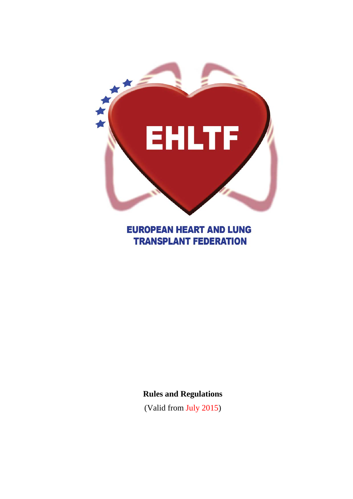

# **EUROPEAN HEART AND LUNG TRANSPLANT FEDERATION**

## **Rules and Regulations**

(Valid from July 2015)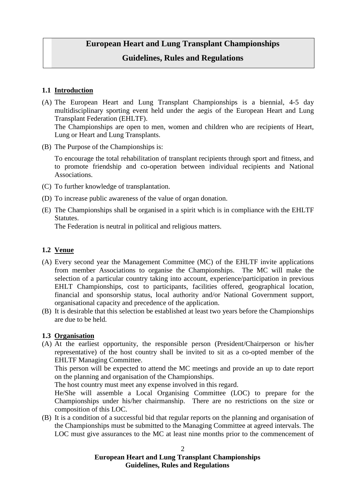# **European Heart and Lung Transplant Championships**

#### **Guidelines, Rules and Regulations**

#### **1.1 Introduction**

- (A) The European Heart and Lung Transplant Championships is a biennial, 4-5 day multidisciplinary sporting event held under the aegis of the European Heart and Lung Transplant Federation (EHLTF). The Championships are open to men, women and children who are recipients of Heart, Lung or Heart and Lung Transplants.
- (B) The Purpose of the Championships is:

To encourage the total rehabilitation of transplant recipients through sport and fitness, and to promote friendship and co-operation between individual recipients and National Associations.

- (C) To further knowledge of transplantation.
- (D) To increase public awareness of the value of organ donation.
- (E) The Championships shall be organised in a spirit which is in compliance with the EHLTF Statutes.

The Federation is neutral in political and religious matters.

#### **1.2 Venue**

- (A) Every second year the Management Committee (MC) of the EHLTF invite applications from member Associations to organise the Championships. The MC will make the selection of a particular country taking into account, experience/participation in previous EHLT Championships, cost to participants, facilities offered, geographical location, financial and sponsorship status, local authority and/or National Government support, organisational capacity and precedence of the application.
- (B) It is desirable that this selection be established at least two years before the Championships are due to be held.

#### **1.3 Organisation**

(A) At the earliest opportunity, the responsible person (President/Chairperson or his/her representative) of the host country shall be invited to sit as a co-opted member of the EHLTF Managing Committee.

This person will be expected to attend the MC meetings and provide an up to date report on the planning and organisation of the Championships.

The host country must meet any expense involved in this regard.

He/She will assemble a Local Organising Committee (LOC) to prepare for the Championships under his/her chairmanship. There are no restrictions on the size or composition of this LOC.

(B) It is a condition of a successful bid that regular reports on the planning and organisation of the Championships must be submitted to the Managing Committee at agreed intervals. The LOC must give assurances to the MC at least nine months prior to the commencement of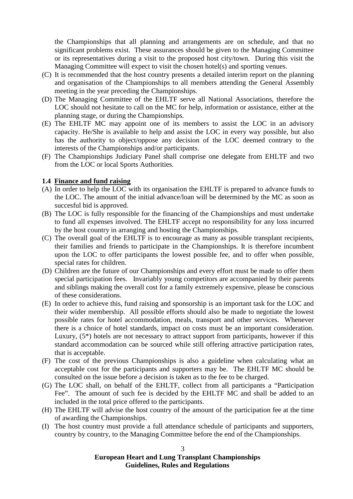the Championships that all planning and arrangements are on schedule, and that no significant problems exist. These assurances should be given to the Managing Committee or its representatives during a visit to the proposed host city/town. During this visit the Managing Committee will expect to visit the chosen hotel(s) and sporting venues.

- (C) It is recommended that the host country presents a detailed interim report on the planning and organisation of the Championships to all members attending the General Assembly meeting in the year preceding the Championships.
- (D) The Managing Committee of the EHLTF serve all National Associations, therefore the LOC should not hesitate to call on the MC for help, information or assistance, either at the planning stage, or during the Championships.
- (E) The EHLTF MC may appoint one of its members to assist the LOC in an advisory capacity. He/She is available to help and assist the LOC in every way possible, but also has the authority to object/oppose any decision of the LOC deemed contrary to the interests of the Championships and/or participants.
- (F) The Championships Judiciary Panel shall comprise one delegate from EHLTF and two from the LOC or local Sports Authorities.

#### **1.4 Finance and fund raising**

- (A) In order to help the LOC with its organisation the EHLTF is prepared to advance funds to the LOC. The amount of the initial advance/loan will be determined by the MC as soon as succesful bid is approved.
- (B) The LOC is fully responsible for the financing of the Championships and must undertake to fund all expenses involved. The EHLTF accept no responsibility for any loss incurred by the host country in arranging and hosting the Championships.
- (C) The overall goal of the EHLTF is to encourage as many as possible transplant recipients, their families and friends to participate in the Championships. It is therefore incumbent upon the LOC to offer participants the lowest possible fee, and to offer when possible, special rates for children.
- (D) Children are the future of our Championships and every effort must be made to offer them special participation fees. Invariably young competitors are accompanied by their parents and siblings making the overall cost for a family extremely expensive, please be conscious of these considerations.
- (E) In order to achieve this, fund raising and sponsorship is an important task for the LOC and their wider membership. All possible efforts should also be made to negotiate the lowest possible rates for hotel accommodation, meals, transport and other services. Whenever there is a choice of hotel standards, impact on costs must be an important consideration. Luxury, (5\*) hotels are not necessary to attract support from participants, however if this standard accommodation can be sourced while still offering attractive participation rates, that is acceptable.
- (F) The cost of the previous Championships is also a guideline when calculating what an acceptable cost for the participants and supporters may be. The EHLTF MC should be consulted on the issue before a decision is taken as to the fee to be charged.
- (G) The LOC shall, on behalf of the EHLTF, collect from all participants a "Participation Fee". The amount of such fee is decided by the EHLTF MC and shall be added to an included in the total price offered to the participants.
- (H) The EHLTF will advise the host country of the amount of the participation fee at the time of awarding the Championships.
- (I) The host country must provide a full attendance schedule of participants and supporters, country by country, to the Managing Committee before the end of the Championships.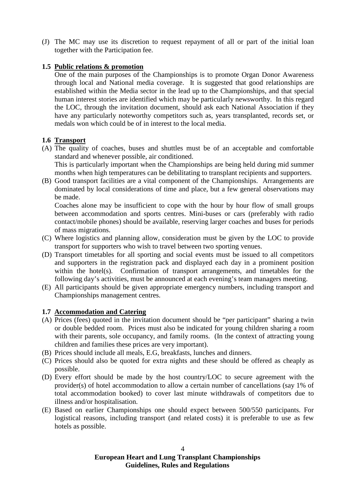(J) The MC may use its discretion to request repayment of all or part of the initial loan together with the Participation fee.

#### **1.5 Public relations & promotion**

One of the main purposes of the Championships is to promote Organ Donor Awareness through local and National media coverage. It is suggested that good relationships are established within the Media sector in the lead up to the Championships, and that special human interest stories are identified which may be particularly newsworthy. In this regard the LOC, through the invitation document, should ask each National Association if they have any particularly noteworthy competitors such as, years transplanted, records set, or medals won which could be of in interest to the local media.

#### **1.6 Transport**

- (A) The quality of coaches, buses and shuttles must be of an acceptable and comfortable standard and whenever possible, air conditioned. This is particularly important when the Championships are being held during mid summer months when high temperatures can be debilitating to transplant recipients and supporters.
- (B) Good transport facilities are a vital component of the Championships. Arrangements are dominated by local considerations of time and place, but a few general observations may be made.

Coaches alone may be insufficient to cope with the hour by hour flow of small groups between accommodation and sports centres. Mini-buses or cars (preferably with radio contact/mobile phones) should be available, reserving larger coaches and buses for periods of mass migrations.

- (C) Where logistics and planning allow, consideration must be given by the LOC to provide transport for supporters who wish to travel between two sporting venues.
- (D) Transport timetables for all sporting and social events must be issued to all competitors and supporters in the registration pack and displayed each day in a prominent position within the hotel(s). Confirmation of transport arrangements, and timetables for the following day's activities, must be announced at each evening's team managers meeting.
- (E) All participants should be given appropriate emergency numbers, including transport and Championships management centres.

#### **1.7 Accommodation and Catering**

- (A) Prices (fees) quoted in the invitation document should be "per participant" sharing a twin or double bedded room. Prices must also be indicated for young children sharing a room with their parents, sole occupancy, and family rooms. (In the context of attracting young children and families these prices are very important).
- (B) Prices should include all meals, E.G, breakfasts, lunches and dinners.
- (C) Prices should also be quoted for extra nights and these should be offered as cheaply as possible.
- (D) Every effort should be made by the host country/LOC to secure agreement with the provider(s) of hotel accommodation to allow a certain number of cancellations (say 1% of total accommodation booked) to cover last minute withdrawals of competitors due to illness and/or hospitalisation.
- (E) Based on earlier Championships one should expect between 500/550 participants. For logistical reasons, including transport (and related costs) it is preferable to use as few hotels as possible.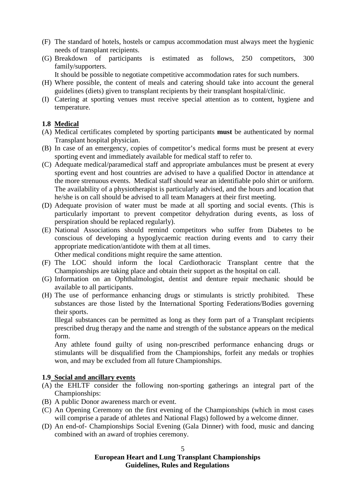- (F) The standard of hotels, hostels or campus accommodation must always meet the hygienic needs of transplant recipients.
- (G) Breakdown of participants is estimated as follows, 250 competitors, 300 family/supporters.
	- It should be possible to negotiate competitive accommodation rates for such numbers.
- (H) Where possible, the content of meals and catering should take into account the general guidelines (diets) given to transplant recipients by their transplant hospital/clinic.
- (I) Catering at sporting venues must receive special attention as to content, hygiene and temperature.

#### **1.8 Medical**

- (A) Medical certificates completed by sporting participants **must** be authenticated by normal Transplant hospital physician.
- (B) In case of an emergency, copies of competitor's medical forms must be present at every sporting event and immediately available for medical staff to refer to.
- (C) Adequate medical/paramedical staff and appropriate ambulances must be present at every sporting event and host countries are advised to have a qualified Doctor in attendance at the more strenuous events. Medical staff should wear an identifiable polo shirt or uniform. The availability of a physiotherapist is particularly advised, and the hours and location that he/she is on call should be advised to all team Managers at their first meeting.
- (D) Adequate provision of water must be made at all sporting and social events. (This is particularly important to prevent competitor dehydration during events, as loss of perspiration should be replaced regularly).
- (E) National Associations should remind competitors who suffer from Diabetes to be conscious of developing a hypoglycaemic reaction during events and to carry their appropriate medication/antidote with them at all times.

Other medical conditions might require the same attention.

- (F) The LOC should inform the local Cardiothoracic Transplant centre that the Championships are taking place and obtain their support as the hospital on call.
- (G) Information on an Ophthalmologist, dentist and denture repair mechanic should be available to all participants.
- (H) The use of performance enhancing drugs or stimulants is strictly prohibited. These substances are those listed by the International Sporting Federations/Bodies governing their sports.

Illegal substances can be permitted as long as they form part of a Transplant recipients prescribed drug therapy and the name and strength of the substance appears on the medical form.

Any athlete found guilty of using non-prescribed performance enhancing drugs or stimulants will be disqualified from the Championships, forfeit any medals or trophies won, and may be excluded from all future Championships.

#### **1.9 Social and ancillary events**

- (A) the EHLTF consider the following non-sporting gatherings an integral part of the Championships:
- (B) A public Donor awareness march or event.
- (C) An Opening Ceremony on the first evening of the Championships (which in most cases will comprise a parade of athletes and National Flags) followed by a welcome dinner.
- (D) An end-of- Championships Social Evening (Gala Dinner) with food, music and dancing combined with an award of trophies ceremony.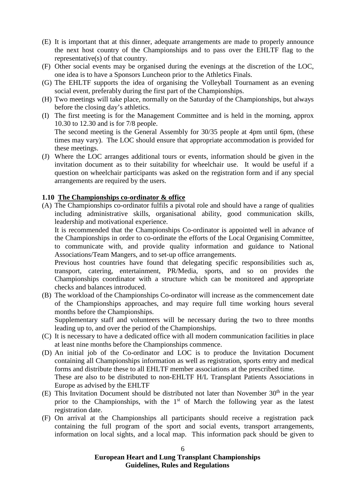- (E) It is important that at this dinner, adequate arrangements are made to properly announce the next host country of the Championships and to pass over the EHLTF flag to the representative(s) of that country.
- (F) Other social events may be organised during the evenings at the discretion of the LOC, one idea is to have a Sponsors Luncheon prior to the Athletics Finals.
- (G) The EHLTF supports the idea of organising the Volleyball Tournament as an evening social event, preferably during the first part of the Championships.
- (H) Two meetings will take place, normally on the Saturday of the Championships, but always before the closing day's athletics.
- (I) The first meeting is for the Management Committee and is held in the morning, approx 10.30 to 12.30 and is for 7/8 people. The second meeting is the General Assembly for 30/35 people at 4pm until 6pm, (these times may vary). The LOC should ensure that appropriate accommodation is provided for these meetings.
- (J) Where the LOC arranges additional tours or events, information should be given in the invitation document as to their suitability for wheelchair use. It would be useful if a question on wheelchair participants was asked on the registration form and if any special arrangements are required by the users.

#### **1.10 The Championships co-ordinator & office**

(A) The Championships co-ordinator fulfils a pivotal role and should have a range of qualities including administrative skills, organisational ability, good communication skills, leadership and motivational experience.

It is recommended that the Championships Co-ordinator is appointed well in advance of the Championships in order to co-ordinate the efforts of the Local Organising Committee, to communicate with, and provide quality information and guidance to National Associations/Team Mangers, and to set-up office arrangements.

Previous host countries have found that delegating specific responsibilities such as, transport, catering, entertainment, PR/Media, sports, and so on provides the Championships coordinator with a structure which can be monitored and appropriate checks and balances introduced.

(B) The workload of the Championships Co-ordinator will increase as the commencement date of the Championships approaches, and may require full time working hours several months before the Championships.

Supplementary staff and volunteers will be necessary during the two to three months leading up to, and over the period of the Championships.

- (C) It is necessary to have a dedicated office with all modern communication facilities in place at least nine months before the Championships commence.
- (D) An initial job of the Co-ordinator and LOC is to produce the Invitation Document containing all Championships information as well as registration, sports entry and medical forms and distribute these to all EHLTF member associations at the prescribed time. These are also to be distributed to non-EHLTF H/L Transplant Patients Associations in Europe as advised by the EHLTF
- (E) This Invitation Document should be distributed not later than November  $30<sup>th</sup>$  in the year prior to the Championships, with the  $1<sup>st</sup>$  of March the following year as the latest registration date.
- (F) On arrival at the Championships all participants should receive a registration pack containing the full program of the sport and social events, transport arrangements, information on local sights, and a local map. This information pack should be given to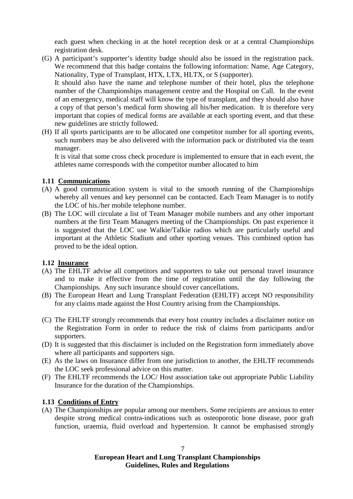each guest when checking in at the hotel reception desk or at a central Championships registration desk.

- (G) A participant's supporter's identity badge should also be issued in the registration pack. We recommend that this badge contains the following information: Name, Age Category, Nationality, Type of Transplant, HTX, LTX, HLTX, or S (supporter). It should also have the name and telephone number of their hotel, plus the telephone number of the Championships management centre and the Hospital on Call. In the event of an emergency, medical staff will know the type of transplant, and they should also have a copy of that person's medical form showing all his/her medication. It is therefore very important that copies of medical forms are available at each sporting event, and that these
- new guidelines are strictly followed. (H) If all sports participants are to be allocated one competitor number for all sporting events, such numbers may be also delivered with the information pack or distributed via the team manager.

It is vital that some cross check procedure is implemented to ensure that in each event, the athletes name corresponds with the competitor number allocated to him

#### **1.11 Communications**

- (A) A good communication system is vital to the smooth running of the Championships whereby all venues and key personnel can be contacted. Each Team Manager is to notify the LOC of his./her mobile telephone number.
- (B) The LOC will circulate a list of Team Manager mobile numbers and any other important numbers at the first Team Managers meeting of the Championships. On past experience it is suggested that the LOC use Walkie/Talkie radios which are particularly useful and important at the Athletic Stadium and other sporting venues. This combined option has proved to be the ideal option.

#### **1.12 Insurance**

- (A) The EHLTF advise all competitors and supporters to take out personal travel insurance and to make it effective from the time of registration until the day following the Championships. Any such insurance should cover cancellations.
- (B) The European Heart and Lung Transplant Federation (EHLTF) accept NO responsibility for any claims made against the Host Country arising from the Championships.
- (C) The EHLTF strongly recommends that every host country includes a disclaimer notice on the Registration Form in order to reduce the risk of claims from participants and/or supporters.
- (D) It is suggested that this disclaimer is included on the Registration form immediately above where all participants and supporters sign.
- (E) As the laws on Insurance differ from one jurisdiction to another, the EHLTF recommends the LOC seek professional advice on this matter.
- (F) The EHLTF recommends the LOC/ Host association take out appropriate Public Liability Insurance for the duration of the Championships.

#### **1.13 Conditions of Entry**

(A) The Championships are popular among our members. Some recipients are anxious to enter despite strong medical contra-indications such as osteoporotic bone disease, poor graft function, uraemia, fluid overload and hypertension. It cannot be emphasised strongly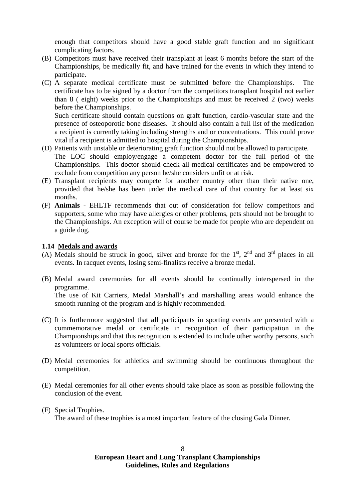enough that competitors should have a good stable graft function and no significant complicating factors.

- (B) Competitors must have received their transplant at least 6 months before the start of the Championships, be medically fit, and have trained for the events in which they intend to participate.
- (C) A separate medical certificate must be submitted before the Championships. The certificate has to be signed by a doctor from the competitors transplant hospital not earlier than 8 ( eight) weeks prior to the Championships and must be received 2 (two) weeks before the Championships.

Such certificate should contain questions on graft function, cardio-vascular state and the presence of osteoporotic bone diseases. It should also contain a full list of the medication a recipient is currently taking including strengths and or concentrations. This could prove vital if a recipient is admitted to hospital during the Championships.

- (D) Patients with unstable or deteriorating graft function should not be allowed to participate. The LOC should employ/engage a competent doctor for the full period of the Championships. This doctor should check all medical certificates and be empowered to exclude from competition any person he/she considers unfit or at risk.
- (E) Transplant recipients may compete for another country other than their native one, provided that he/she has been under the medical care of that country for at least six months.
- (F) **Animals -** EHLTF recommends that out of consideration for fellow competitors and supporters, some who may have allergies or other problems, pets should not be brought to the Championships. An exception will of course be made for people who are dependent on a guide dog.

#### **1.14 Medals and awards**

- (A) Medals should be struck in good, silver and bronze for the  $1<sup>st</sup>$ ,  $2<sup>nd</sup>$  and  $3<sup>rd</sup>$  places in all events. In racquet events, losing semi-finalists receive a bronze medal.
- (B) Medal award ceremonies for all events should be continually interspersed in the programme. The use of Kit Carriers, Medal Marshall's and marshalling areas would enhance the smooth running of the program and is highly recommended.
- (C) It is furthermore suggested that **all** participants in sporting events are presented with a commemorative medal or certificate in recognition of their participation in the Championships and that this recognition is extended to include other worthy persons, such as volunteers or local sports officials.
- (D) Medal ceremonies for athletics and swimming should be continuous throughout the competition.
- (E) Medal ceremonies for all other events should take place as soon as possible following the conclusion of the event.
- (F) Special Trophies.

The award of these trophies is a most important feature of the closing Gala Dinner.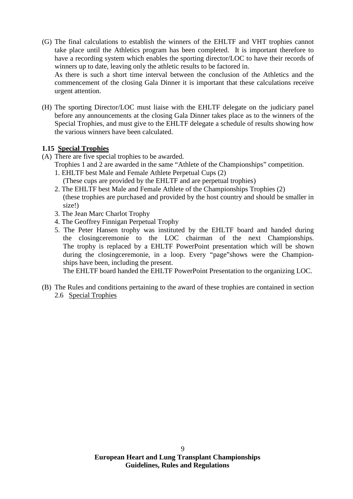(G) The final calculations to establish the winners of the EHLTF and VHT trophies cannot take place until the Athletics program has been completed. It is important therefore to have a recording system which enables the sporting director/LOC to have their records of winners up to date, leaving only the athletic results to be factored in.

As there is such a short time interval between the conclusion of the Athletics and the commencement of the closing Gala Dinner it is important that these calculations receive urgent attention.

(H) The sporting Director/LOC must liaise with the EHLTF delegate on the judiciary panel before any announcements at the closing Gala Dinner takes place as to the winners of the Special Trophies, and must give to the EHLTF delegate a schedule of results showing how the various winners have been calculated.

#### **1.15 Special Trophies**

- (A) There are five special trophies to be awarded.
	- Trophies 1 and 2 are awarded in the same "Athlete of the Championships" competition.
		- 1. EHLTF best Male and Female Athlete Perpetual Cups (2)
			- (These cups are provided by the EHLTF and are perpetual trophies)
		- 2. The EHLTF best Male and Female Athlete of the Championships Trophies (2) (these trophies are purchased and provided by the host country and should be smaller in size!)
		- 3. The Jean Marc Charlot Trophy
		- 4. The Geoffrey Finnigan Perpetual Trophy
		- 5. The Peter Hansen trophy was instituted by the EHLTF board and handed during the closingceremonie to the LOC chairman of the next Championships. The trophy is replaced by a EHLTF PowerPoint presentation which will be shown during the closingceremonie, in a loop. Every "page"shows were the Championships have been, including the present.

The EHLTF board handed the EHLTF PowerPoint Presentation to the organizing LOC.

(B) The Rules and conditions pertaining to the award of these trophies are contained in section 2.6 Special Trophies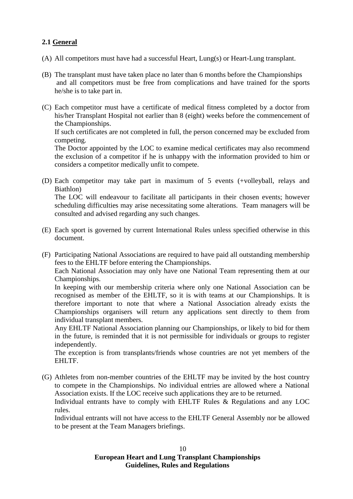#### **2.1 General**

- (A) All competitors must have had a successful Heart, Lung(s) or Heart-Lung transplant.
- (B) The transplant must have taken place no later than 6 months before the Championships and all competitors must be free from complications and have trained for the sports he/she is to take part in.
- (C) Each competitor must have a certificate of medical fitness completed by a doctor from his/her Transplant Hospital not earlier than 8 (eight) weeks before the commencement of the Championships. If such certificates are not completed in full, the person concerned may be excluded from competing. The Doctor appointed by the LOC to examine medical certificates may also recommend

the exclusion of a competitor if he is unhappy with the information provided to him or considers a competitor medically unfit to compete.

(D) Each competitor may take part in maximum of 5 events (+volleyball, relays and Biathlon)

The LOC will endeavour to facilitate all participants in their chosen events; however scheduling difficulties may arise necessitating some alterations. Team managers will be consulted and advised regarding any such changes.

- (E) Each sport is governed by current International Rules unless specified otherwise in this document.
- (F) Participating National Associations are required to have paid all outstanding membership fees to the EHLTF before entering the Championships.

Each National Association may only have one National Team representing them at our Championships.

In keeping with our membership criteria where only one National Association can be recognised as member of the EHLTF, so it is with teams at our Championships. It is therefore important to note that where a National Association already exists the Championships organisers will return any applications sent directly to them from individual transplant members.

Any EHLTF National Association planning our Championships, or likely to bid for them in the future, is reminded that it is not permissible for individuals or groups to register independently.

The exception is from transplants/friends whose countries are not yet members of the EHLTF.

(G) Athletes from non-member countries of the EHLTF may be invited by the host country to compete in the Championships. No individual entries are allowed where a National Association exists. If the LOC receive such applications they are to be returned. Individual entrants have to comply with EHLTF Rules & Regulations and any LOC

rules. Individual entrants will not have access to the EHLTF General Assembly nor be allowed to be present at the Team Managers briefings.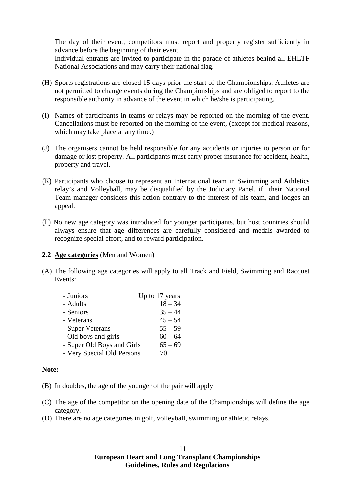The day of their event, competitors must report and properly register sufficiently in advance before the beginning of their event.

Individual entrants are invited to participate in the parade of athletes behind all EHLTF National Associations and may carry their national flag.

- (H) Sports registrations are closed 15 days prior the start of the Championships. Athletes are not permitted to change events during the Championships and are obliged to report to the responsible authority in advance of the event in which he/she is participating.
- (I) Names of participants in teams or relays may be reported on the morning of the event. Cancellations must be reported on the morning of the event, (except for medical reasons, which may take place at any time.)
- (J) The organisers cannot be held responsible for any accidents or injuries to person or for damage or lost property. All participants must carry proper insurance for accident, health, property and travel.
- (K) Participants who choose to represent an International team in Swimming and Athletics relay's and Volleyball, may be disqualified by the Judiciary Panel, if their National Team manager considers this action contrary to the interest of his team, and lodges an appeal.
- (L) No new age category was introduced for younger participants, but host countries should always ensure that age differences are carefully considered and medals awarded to recognize special effort, and to reward participation.

#### **2.2 Age categories** (Men and Women)

(A) The following age categories will apply to all Track and Field, Swimming and Racquet Events:

| - Juniors                  | Up to 17 years |
|----------------------------|----------------|
| - Adults                   | $18 - 34$      |
| - Seniors                  | $35 - 44$      |
| - Veterans                 | $45 - 54$      |
| - Super Veterans           | $55 - 59$      |
| - Old boys and girls       | $60 - 64$      |
| - Super Old Boys and Girls | $65 - 69$      |
| - Very Special Old Persons | $70+$          |

#### **Note:**

- (B) In doubles, the age of the younger of the pair will apply
- (C) The age of the competitor on the opening date of the Championships will define the age category.
- (D) There are no age categories in golf, volleyball, swimming or athletic relays.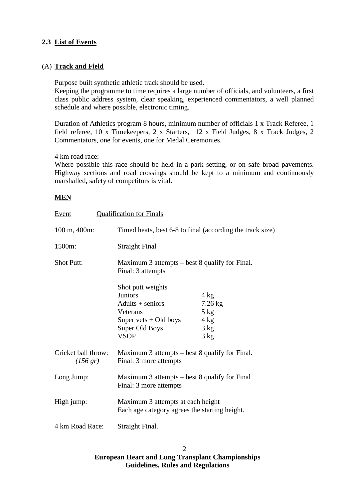#### **2.3 List of Events**

#### (A) **Track and Field**

Purpose built synthetic athletic track should be used.

Keeping the programme to time requires a large number of officials, and volunteers, a first class public address system, clear speaking, experienced commentators, a well planned schedule and where possible, electronic timing.

Duration of Athletics program 8 hours, minimum number of officials 1 x Track Referee, 1 field referee, 10 x Timekeepers, 2 x Starters, 12 x Field Judges, 8 x Track Judges, 2 Commentators, one for events, one for Medal Ceremonies.

4 km road race:

Where possible this race should be held in a park setting, or on safe broad pavements. Highway sections and road crossings should be kept to a minimum and continuously marshalled**,** safety of competitors is vital.

#### **MEN**

| Event                                       | <b>Qualification for Finals</b>                                                                                                   |                                                                                   |  |
|---------------------------------------------|-----------------------------------------------------------------------------------------------------------------------------------|-----------------------------------------------------------------------------------|--|
| 100 m, 400m:                                | Timed heats, best 6-8 to final (according the track size)                                                                         |                                                                                   |  |
| 1500m:                                      | <b>Straight Final</b>                                                                                                             |                                                                                   |  |
| <b>Shot Putt:</b>                           | Maximum 3 attempts – best 8 qualify for Final.<br>Final: 3 attempts                                                               |                                                                                   |  |
|                                             | Shot putt weights<br><b>Juniors</b><br>$Adults + seniors$<br>Veterans<br>Super vets $+$ Old boys<br>Super Old Boys<br><b>VSOP</b> | $4 \text{ kg}$<br>$7.26$ kg<br>$5$ kg<br>$4 \text{ kg}$<br>$3 \text{ kg}$<br>3 kg |  |
| Cricket ball throw:<br>$(156 \, \text{gr})$ | Maximum 3 attempts – best 8 qualify for Final.<br>Final: 3 more attempts                                                          |                                                                                   |  |
| Long Jump:                                  | Maximum 3 attempts – best 8 qualify for Final<br>Final: 3 more attempts                                                           |                                                                                   |  |
| High jump:                                  | Maximum 3 attempts at each height<br>Each age category agrees the starting height.                                                |                                                                                   |  |
| 4 km Road Race:                             | Straight Final.                                                                                                                   |                                                                                   |  |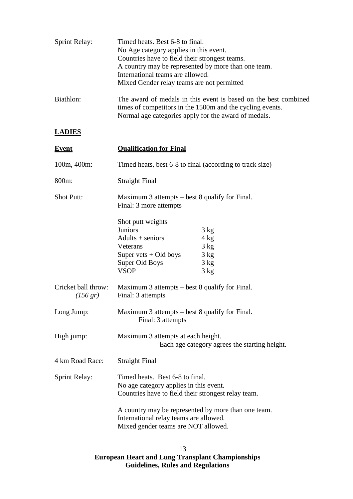| <b>Sprint Relay:</b> | Timed heats. Best 6-8 to final.                                                                                                                                                      |  |  |  |
|----------------------|--------------------------------------------------------------------------------------------------------------------------------------------------------------------------------------|--|--|--|
|                      | No Age category applies in this event.<br>Countries have to field their strongest teams.<br>A country may be represented by more than one team.                                      |  |  |  |
|                      |                                                                                                                                                                                      |  |  |  |
|                      |                                                                                                                                                                                      |  |  |  |
|                      | International teams are allowed.                                                                                                                                                     |  |  |  |
|                      | Mixed Gender relay teams are not permitted                                                                                                                                           |  |  |  |
| Biathlon:            | The award of medals in this event is based on the best combined<br>times of competitors in the 1500m and the cycling events.<br>Normal age categories apply for the award of medals. |  |  |  |
|                      |                                                                                                                                                                                      |  |  |  |

#### **LADIES**

| <b>Event</b>                              | <b>Qualification for Final</b>                                                                                                                                                    |  |  |
|-------------------------------------------|-----------------------------------------------------------------------------------------------------------------------------------------------------------------------------------|--|--|
| 100m, 400m:                               | Timed heats, best 6-8 to final (according to track size)                                                                                                                          |  |  |
| 800m:                                     | <b>Straight Final</b>                                                                                                                                                             |  |  |
| <b>Shot Putt:</b>                         | Maximum 3 attempts – best 8 qualify for Final.<br>Final: 3 more attempts                                                                                                          |  |  |
|                                           | Shot putt weights<br><b>Juniors</b><br>3 kg<br>$Adults + seniors$<br>4 kg<br>3 kg<br>Veterans<br>Super vets $+$ Old boys<br>3 kg<br>Super Old Boys<br>3 kg<br><b>VSOP</b><br>3 kg |  |  |
| Cricket ball throw:<br>$(156 \text{ gr})$ | Maximum 3 attempts – best 8 qualify for Final.<br>Final: 3 attempts                                                                                                               |  |  |
| Long Jump:                                | Maximum 3 attempts – best 8 qualify for Final.<br>Final: 3 attempts                                                                                                               |  |  |
| High jump:                                | Maximum 3 attempts at each height.<br>Each age category agrees the starting height.                                                                                               |  |  |
| 4 km Road Race:                           | <b>Straight Final</b>                                                                                                                                                             |  |  |
| <b>Sprint Relay:</b>                      | Timed heats. Best 6-8 to final.<br>No age category applies in this event.<br>Countries have to field their strongest relay team.                                                  |  |  |
|                                           | A country may be represented by more than one team.<br>International relay teams are allowed.<br>Mixed gender teams are NOT allowed.                                              |  |  |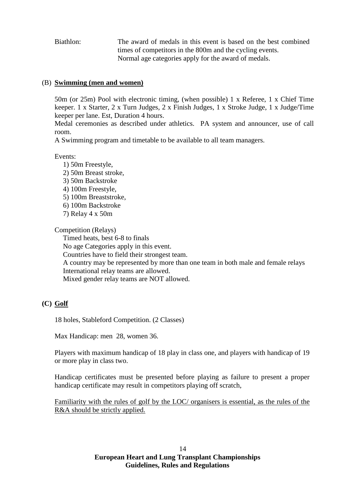Biathlon: The award of medals in this event is based on the best combined times of competitors in the 800m and the cycling events. Normal age categories apply for the award of medals.

#### (B) **Swimming (men and women)**

50m (or 25m) Pool with electronic timing, (when possible) 1 x Referee, 1 x Chief Time keeper. 1 x Starter, 2 x Turn Judges, 2 x Finish Judges, 1 x Stroke Judge, 1 x Judge/Time keeper per lane. Est, Duration 4 hours.

Medal ceremonies as described under athletics. PA system and announcer, use of call room.

A Swimming program and timetable to be available to all team managers.

Events:

1) 50m Freestyle, 2) 50m Breast stroke, 3) 50m Backstroke 4) 100m Freestyle, 5) 100m Breaststroke, 6) 100m Backstroke 7) Relay 4 x 50m

Competition (Relays)

Timed heats, best 6-8 to finals No age Categories apply in this event. Countries have to field their strongest team. A country may be represented by more than one team in both male and female relays International relay teams are allowed. Mixed gender relay teams are NOT allowed.

#### **(C) Golf**

18 holes, Stableford Competition. (2 Classes)

Max Handicap: men 28, women 36.

Players with maximum handicap of 18 play in class one, and players with handicap of 19 or more play in class two.

Handicap certificates must be presented before playing as failure to present a proper handicap certificate may result in competitors playing off scratch,

Familiarity with the rules of golf by the LOC/ organisers is essential, as the rules of the R&A should be strictly applied.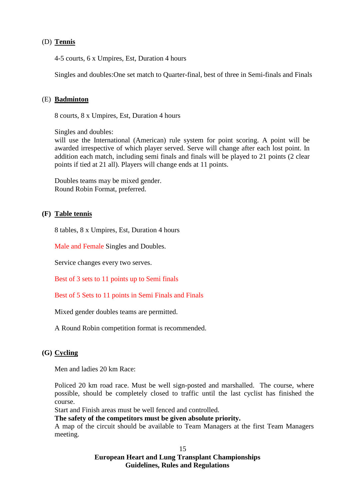#### (D) **Tennis**

4-5 courts, 6 x Umpires, Est, Duration 4 hours

Singles and doubles:One set match to Quarter-final, best of three in Semi-finals and Finals

#### (E) **Badminton**

8 courts, 8 x Umpires, Est, Duration 4 hours

Singles and doubles: will use the International (American) rule system for point scoring. A point will be awarded irrespective of which player served. Serve will change after each lost point. In addition each match, including semi finals and finals will be played to 21 points (2 clear points if tied at 21 all). Players will change ends at 11 points.

Doubles teams may be mixed gender. Round Robin Format, preferred.

#### **(F) Table tennis**

8 tables, 8 x Umpires, Est, Duration 4 hours

Male and Female Singles and Doubles.

Service changes every two serves.

Best of 3 sets to 11 points up to Semi finals

Best of 5 Sets to 11 points in Semi Finals and Finals

Mixed gender doubles teams are permitted.

A Round Robin competition format is recommended.

#### **(G) Cycling**

Men and ladies 20 km Race:

Policed 20 km road race. Must be well sign-posted and marshalled. The course, where possible, should be completely closed to traffic until the last cyclist has finished the course.

Start and Finish areas must be well fenced and controlled.

**The safety of the competitors must be given absolute priority.**

A map of the circuit should be available to Team Managers at the first Team Managers meeting.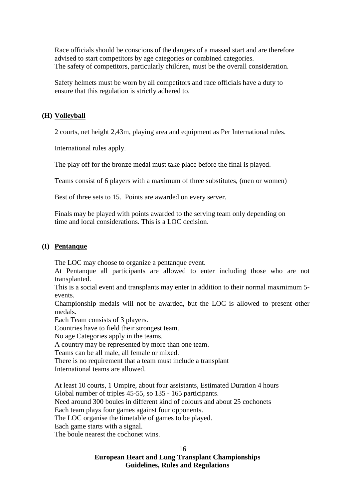Race officials should be conscious of the dangers of a massed start and are therefore advised to start competitors by age categories or combined categories. The safety of competitors, particularly children, must be the overall consideration.

Safety helmets must be worn by all competitors and race officials have a duty to ensure that this regulation is strictly adhered to.

#### **(H) Volleyball**

2 courts, net height 2,43m, playing area and equipment as Per International rules.

International rules apply.

The play off for the bronze medal must take place before the final is played.

Teams consist of 6 players with a maximum of three substitutes, (men or women)

Best of three sets to 15. Points are awarded on every server.

Finals may be played with points awarded to the serving team only depending on time and local considerations. This is a LOC decision.

#### **(I) Pentanque**

The LOC may choose to organize a pentanque event.

At Pentanque all participants are allowed to enter including those who are not transplanted.

This is a social event and transplants may enter in addition to their normal maxmimum 5 events.

Championship medals will not be awarded, but the LOC is allowed to present other medals.

Each Team consists of 3 players.

Countries have to field their strongest team.

No age Categories apply in the teams.

A country may be represented by more than one team.

Teams can be all male, all female or mixed.

There is no requirement that a team must include a transplant

International teams are allowed.

At least 10 courts, 1 Umpire, about four assistants, Estimated Duration 4 hours Global number of triples 45-55, so 135 - 165 participants.

Need around 300 boules in different kind of colours and about 25 cochonets

Each team plays four games against four opponents.

The LOC organise the timetable of games to be played.

Each game starts with a signal.

The boule nearest the cochonet wins.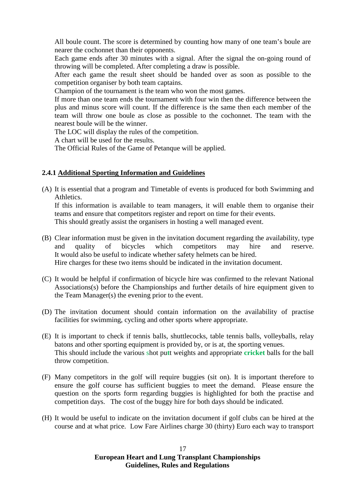All boule count. The score is determined by counting how many of one team's boule are nearer the cochonnet than their opponents.

Each game ends after 30 minutes with a signal. After the signal the on-going round of throwing will be completed. After completing a draw is possible.

After each game the result sheet should be handed over as soon as possible to the competition organiser by both team captains.

Champion of the tournament is the team who won the most games.

If more than one team ends the tournament with four win then the difference between the plus and minus score will count. If the difference is the same then each member of the team will throw one boule as close as possible to the cochonnet. The team with the nearest boule will be the winner.

The LOC will display the rules of the competition.

A chart will be used for the results.

The Official Rules of the Game of Petanque will be applied.

#### **2.4.1 Additional Sporting Information and Guidelines**

(A) It is essential that a program and Timetable of events is produced for both Swimming and Athletics.

If this information is available to team managers, it will enable them to organise their teams and ensure that competitors register and report on time for their events. This should greatly assist the organisers in hosting a well managed event.

- (B) Clear information must be given in the invitation document regarding the availability, type and quality of bicycles which competitors may hire and reserve. It would also be useful to indicate whether safety helmets can be hired. Hire charges for these two items should be indicated in the invitation document.
- (C) It would be helpful if confirmation of bicycle hire was confirmed to the relevant National Associations(s) before the Championships and further details of hire equipment given to the Team Manager(s) the evening prior to the event.
- (D) The invitation document should contain information on the availability of practise facilities for swimming, cycling and other sports where appropriate.
- (E) It is important to check if tennis balls, shuttlecocks, table tennis balls, volleyballs, relay batons and other sporting equipment is provided by, or is at, the sporting venues. This should include the various shot pu**t**t weights and appropriate **cricket** balls for the ball throw competition.
- (F) Many competitors in the golf will require buggies (sit on). It is important therefore to ensure the golf course has sufficient buggies to meet the demand. Please ensure the question on the sports form regarding buggies is highlighted for both the practise and competition days. The cost of the buggy hire for both days should be indicated.
- (H) It would be useful to indicate on the invitation document if golf clubs can be hired at the course and at what price. Low Fare Airlines charge 30 (thirty) Euro each way to transport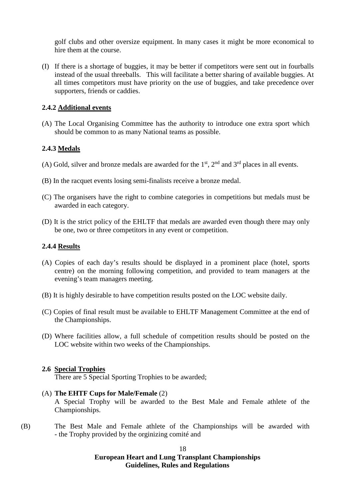golf clubs and other oversize equipment. In many cases it might be more economical to hire them at the course.

(I) If there is a shortage of buggies, it may be better if competitors were sent out in fourballs instead of the usual threeballs. This will facilitate a better sharing of available buggies. At all times competitors must have priority on the use of buggies, and take precedence over supporters, friends or caddies.

#### **2.4.2 Additional events**

(A) The Local Organising Committee has the authority to introduce one extra sport which should be common to as many National teams as possible.

#### **2.4.3 Medals**

- (A) Gold, silver and bronze medals are awarded for the  $1<sup>st</sup>$ ,  $2<sup>nd</sup>$  and  $3<sup>rd</sup>$  places in all events.
- (B) In the racquet events losing semi-finalists receive a bronze medal.
- (C) The organisers have the right to combine categories in competitions but medals must be awarded in each category.
- (D) It is the strict policy of the EHLTF that medals are awarded even though there may only be one, two or three competitors in any event or competition.

#### **2.4.4 Results**

- (A) Copies of each day's results should be displayed in a prominent place (hotel, sports centre) on the morning following competition, and provided to team managers at the evening's team managers meeting.
- (B) It is highly desirable to have competition results posted on the LOC website daily.
- (C) Copies of final result must be available to EHLTF Management Committee at the end of the Championships.
- (D) Where facilities allow, a full schedule of competition results should be posted on the LOC website within two weeks of the Championships.

#### **2.6 Special Trophies**

There are 5 Special Sporting Trophies to be awarded;

- (A) **The EHTF Cups for Male/Female** (2) A Special Trophy will be awarded to the Best Male and Female athlete of the Championships.
- (B) The Best Male and Female athlete of the Championships will be awarded with - the Trophy provided by the orginizing comité and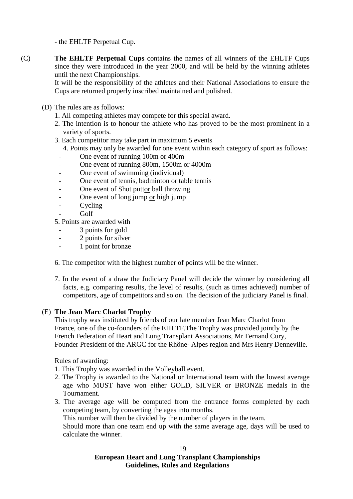- the EHLTF Perpetual Cup.

(C) **The EHLTF Perpetual Cups** contains the names of all winners of the EHLTF Cups since they were introduced in the year 2000, and will be held by the winning athletes until the next Championships.

It will be the responsibility of the athletes and their National Associations to ensure the Cups are returned properly inscribed maintained and polished.

- (D) The rules are as follows:
	- 1. All competing athletes may compete for this special award.
	- 2. The intention is to honour the athlete who has proved to be the most prominent in a variety of sports.
	- 3. Each competitor may take part in maximum 5 events
		- 4. Points may only be awarded for one event within each category of sport as follows:
		- One event of running 100m or 400m
		- One event of running 800m, 1500m or 4000m
		- One event of swimming (individual)
		- One event of tennis, badminton or table tennis
		- One event of Shot puttor ball throwing
		- One event of long jump or high jump
		- Cycling
		- Golf

5. Points are awarded with

- 3 points for gold
- 2 points for silver
- 1 point for bronze

6. The competitor with the highest number of points will be the winner.

7. In the event of a draw the Judiciary Panel will decide the winner by considering all facts, e.g. comparing results, the level of results, (such as times achieved) number of competitors, age of competitors and so on. The decision of the judiciary Panel is final.

#### (E) **The Jean Marc Charlot Trophy**

This trophy was instituted by friends of our late member Jean Marc Charlot from France, one of the co-founders of the EHLTF.The Trophy was provided jointly by the French Federation of Heart and Lung Transplant Associations, Mr Fernand Cury, Founder President of the ARGC for the Rhône- Alpes region and Mrs Henry Denneville.

Rules of awarding:

- 1. This Trophy was awarded in the Volleyball event.
- 2. The Trophy is awarded to the National or International team with the lowest average age who MUST have won either GOLD, SILVER or BRONZE medals in the Tournament.
- 3. The average age will be computed from the entrance forms completed by each competing team, by converting the ages into months.

This number will then be divided by the number of players in the team.

Should more than one team end up with the same average age, days will be used to calculate the winner.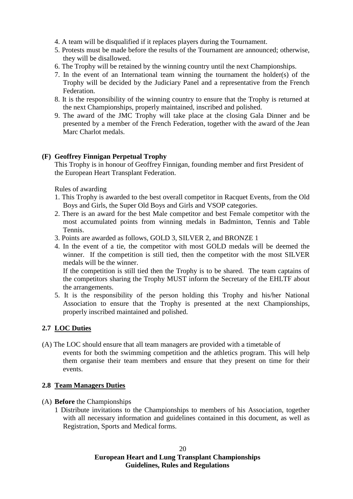4. A team will be disqualified if it replaces players during the Tournament.

- 5. Protests must be made before the results of the Tournament are announced; otherwise, they will be disallowed.
- 6. The Trophy will be retained by the winning country until the next Championships.
- 7. In the event of an International team winning the tournament the holder(s) of the Trophy will be decided by the Judiciary Panel and a representative from the French Federation.
- 8. It is the responsibility of the winning country to ensure that the Trophy is returned at the next Championships, properly maintained, inscribed and polished.
- 9. The award of the JMC Trophy will take place at the closing Gala Dinner and be presented by a member of the French Federation, together with the award of the Jean Marc Charlot medals.

#### **(F) Geoffrey Finnigan Perpetual Trophy**

This Trophy is in honour of Geoffrey Finnigan, founding member and first President of the European Heart Transplant Federation.

Rules of awarding

- 1. This Trophy is awarded to the best overall competitor in Racquet Events, from the Old Boys and Girls, the Super Old Boys and Girls and VSOP categories.
- 2. There is an award for the best Male competitor and best Female competitor with the most accumulated points from winning medals in Badminton, Tennis and Table Tennis.
- 3. Points are awarded as follows, GOLD 3, SILVER 2, and BRONZE 1
- 4. In the event of a tie, the competitor with most GOLD medals will be deemed the winner. If the competition is still tied, then the competitor with the most SILVER medals will be the winner.

If the competition is still tied then the Trophy is to be shared. The team captains of the competitors sharing the Trophy MUST inform the Secretary of the EHLTF about the arrangements.

5. It is the responsibility of the person holding this Trophy and his/her National Association to ensure that the Trophy is presented at the next Championships, properly inscribed maintained and polished.

#### **2.7 LOC Duties**

(A) The LOC should ensure that all team managers are provided with a timetable of events for both the swimming competition and the athletics program. This will help them organise their team members and ensure that they present on time for their events.

#### **2.8 Team Managers Duties**

- (A) **Before** the Championships
	- 1 Distribute invitations to the Championships to members of his Association, together with all necessary information and guidelines contained in this document, as well as Registration, Sports and Medical forms.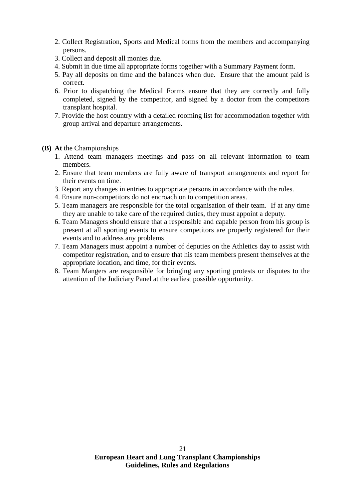- 2. Collect Registration, Sports and Medical forms from the members and accompanying persons.
- 3. Collect and deposit all monies due.
- 4. Submit in due time all appropriate forms together with a Summary Payment form.
- 5. Pay all deposits on time and the balances when due. Ensure that the amount paid is correct.
- 6. Prior to dispatching the Medical Forms ensure that they are correctly and fully completed, signed by the competitor, and signed by a doctor from the competitors transplant hospital.
- 7. Provide the host country with a detailed rooming list for accommodation together with group arrival and departure arrangements.
- **(B) At** the Championships
	- 1. Attend team managers meetings and pass on all relevant information to team members.
	- 2. Ensure that team members are fully aware of transport arrangements and report for their events on time.
	- 3. Report any changes in entries to appropriate persons in accordance with the rules.
	- 4. Ensure non-competitors do not encroach on to competition areas.
	- 5. Team managers are responsible for the total organisation of their team. If at any time they are unable to take care of the required duties, they must appoint a deputy.
	- 6. Team Managers should ensure that a responsible and capable person from his group is present at all sporting events to ensure competitors are properly registered for their events and to address any problems
	- 7. Team Managers must appoint a number of deputies on the Athletics day to assist with competitor registration, and to ensure that his team members present themselves at the appropriate location, and time, for their events.
	- 8. Team Mangers are responsible for bringing any sporting protests or disputes to the attention of the Judiciary Panel at the earliest possible opportunity.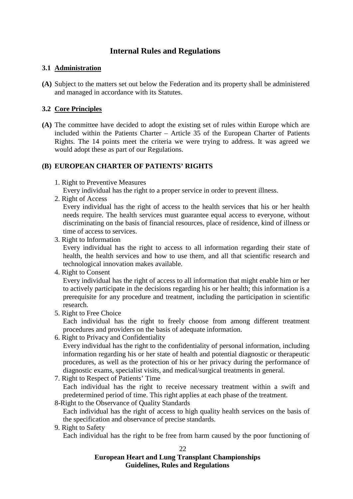### **Internal Rules and Regulations**

#### **3.1 Administration**

**(A)** Subject to the matters set out below the Federation and its property shall be administered and managed in accordance with its Statutes.

#### **3.2 Core Principles**

**(A)** The committee have decided to adopt the existing set of rules within Europe which are included within the Patients Charter – Article 35 of the European Charter of Patients Rights. The 14 points meet the criteria we were trying to address. It was agreed we would adopt these as part of our Regulations.

#### **(B) EUROPEAN CHARTER OF PATIENTS' RIGHTS**

1. Right to Preventive Measures

Every individual has the right to a proper service in order to prevent illness.

2. Right of Access

Every individual has the right of access to the health services that his or her health needs require. The health services must guarantee equal access to everyone, without discriminating on the basis of financial resources, place of residence, kind of illness or time of access to services.

3. Right to Information

Every individual has the right to access to all information regarding their state of health, the health services and how to use them, and all that scientific research and technological innovation makes available.

4. Right to Consent

Every individual has the right of access to all information that might enable him or her to actively participate in the decisions regarding his or her health; this information is a prerequisite for any procedure and treatment, including the participation in scientific research.

5. Right to Free Choice

Each individual has the right to freely choose from among different treatment procedures and providers on the basis of adequate information.

6. Right to Privacy and Confidentiality

Every individual has the right to the confidentiality of personal information, including information regarding his or her state of health and potential diagnostic or therapeutic procedures, as well as the protection of his or her privacy during the performance of diagnostic exams, specialist visits, and medical/surgical treatments in general.

7. Right to Respect of Patients' Time

Each individual has the right to receive necessary treatment within a swift and predetermined period of time. This right applies at each phase of the treatment.

8-Right to the Observance of Quality Standards

Each individual has the right of access to high quality health services on the basis of the specification and observance of precise standards.

9. Right to Safety

Each individual has the right to be free from harm caused by the poor functioning of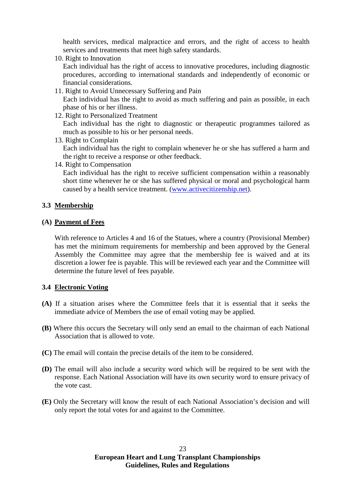health services, medical malpractice and errors, and the right of access to health services and treatments that meet high safety standards.

10. Right to Innovation

Each individual has the right of access to innovative procedures, including diagnostic procedures, according to international standards and independently of economic or financial considerations.

11. Right to Avoid Unnecessary Suffering and Pain

Each individual has the right to avoid as much suffering and pain as possible, in each phase of his or her illness.

12. Right to Personalized Treatment

Each individual has the right to diagnostic or therapeutic programmes tailored as much as possible to his or her personal needs.

13. Right to Complain

Each individual has the right to complain whenever he or she has suffered a harm and the right to receive a response or other feedback.

14. Right to Compensation

Each individual has the right to receive sufficient compensation within a reasonably short time whenever he or she has suffered physical or moral and psychological harm caused by a health service treatment. [\(www.activecitizenship.net\)](http://www.activecitizenship.net/).

#### **3.3 Membership**

#### **(A) Payment of Fees**

With reference to Articles 4 and 16 of the Statues, where a country (Provisional Member) has met the minimum requirements for membership and been approved by the General Assembly the Committee may agree that the membership fee is waived and at its discretion a lower fee is payable. This will be reviewed each year and the Committee will determine the future level of fees payable.

#### **3.4 Electronic Voting**

- **(A)** If a situation arises where the Committee feels that it is essential that it seeks the immediate advice of Members the use of email voting may be applied.
- **(B)** Where this occurs the Secretary will only send an email to the chairman of each National Association that is allowed to vote.
- **(C)** The email will contain the precise details of the item to be considered.
- **(D)** The email will also include a security word which will be required to be sent with the response. Each National Association will have its own security word to ensure privacy of the vote cast.
- **(E)** Only the Secretary will know the result of each National Association's decision and will only report the total votes for and against to the Committee.